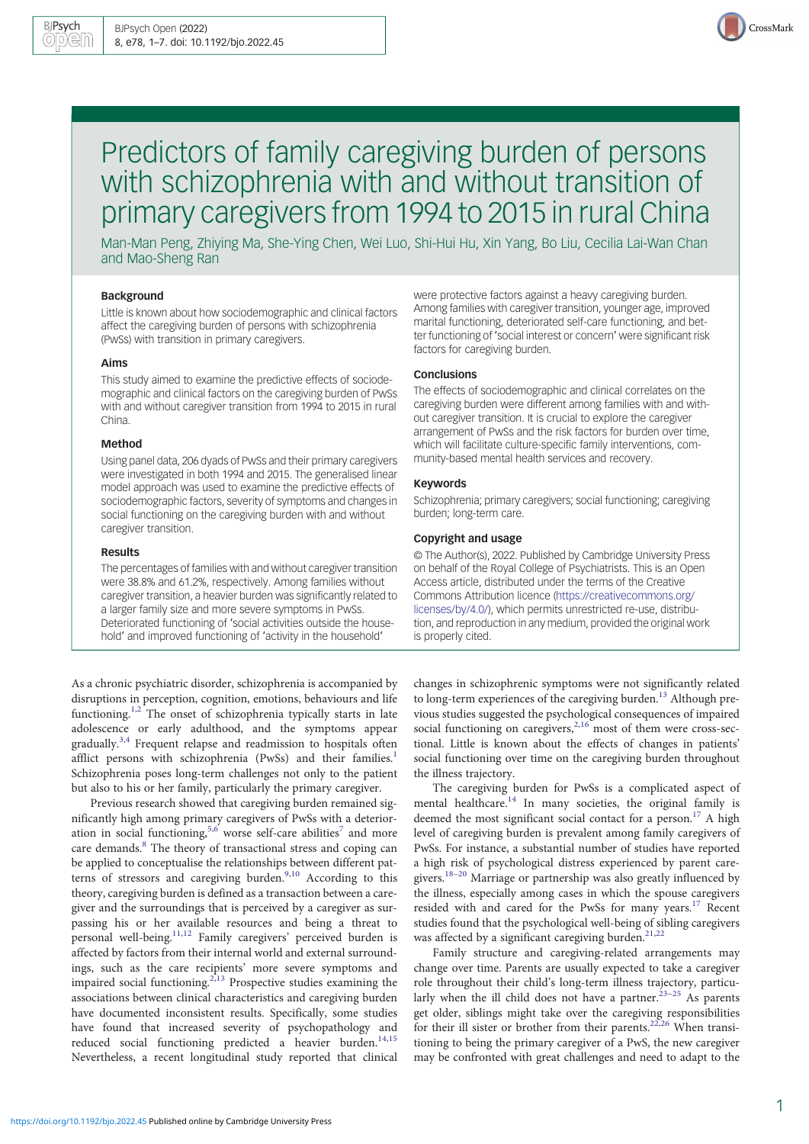

# Predictors of family caregiving burden of persons with schizophrenia with and without transition of primary caregivers from 1994 to 2015 in rural China

Man-Man Peng, Zhiying Ma, She-Ying Chen, Wei Luo, Shi-Hui Hu, Xin Yang, Bo Liu, Cecilia Lai-Wan Chan and Mao-Sheng Ran

## Background

Little is known about how sociodemographic and clinical factors affect the caregiving burden of persons with schizophrenia (PwSs) with transition in primary caregivers.

#### Aims

This study aimed to examine the predictive effects of sociodemographic and clinical factors on the caregiving burden of PwSs with and without caregiver transition from 1994 to 2015 in rural China.

## Method

Using panel data, 206 dyads of PwSs and their primary caregivers were investigated in both 1994 and 2015. The generalised linear model approach was used to examine the predictive effects of sociodemographic factors, severity of symptoms and changes in social functioning on the caregiving burden with and without caregiver transition.

#### Results

The percentages of families with and without caregiver transition were 38.8% and 61.2%, respectively. Among families without caregiver transition, a heavier burden was significantly related to a larger family size and more severe symptoms in PwSs. Deteriorated functioning of 'social activities outside the household' and improved functioning of 'activity in the household'

were protective factors against a heavy caregiving burden. Among families with caregiver transition, younger age, improved marital functioning, deteriorated self-care functioning, and better functioning of 'social interest or concern' were significant risk factors for caregiving burden.

#### Conclusions

The effects of sociodemographic and clinical correlates on the caregiving burden were different among families with and without caregiver transition. It is crucial to explore the caregiver arrangement of PwSs and the risk factors for burden over time, which will facilitate culture-specific family interventions, community-based mental health services and recovery.

## Keywords

Schizophrenia; primary caregivers; social functioning; caregiving burden; long-term care.

#### Copyright and usage

© The Author(s), 2022. Published by Cambridge University Press on behalf of the Royal College of Psychiatrists. This is an Open Access article, distributed under the terms of the Creative Commons Attribution licence [\(https://creativecommons.org/](https://creativecommons.org/licenses/by/4.0/) [licenses/by/4.0/](https://creativecommons.org/licenses/by/4.0/)), which permits unrestricted re-use, distribution, and reproduction in any medium, provided the original work is properly cited.

As a chronic psychiatric disorder, schizophrenia is accompanied by disruptions in perception, cognition, emotions, behaviours and life functioning.<sup>[1](#page-5-0),[2](#page-5-0)</sup> The onset of schizophrenia typically starts in late adolescence or early adulthood, and the symptoms appear gradually.<sup>[3,4](#page-5-0)</sup> Frequent relapse and readmission to hospitals often afflict persons with schizophrenia (PwSs) and their families.<sup>1</sup> Schizophrenia poses long-term challenges not only to the patient but also to his or her family, particularly the primary caregiver.

Previous research showed that caregiving burden remained significantly high among primary caregivers of PwSs with a deterior-ation in social functioning,<sup>[5,6](#page-5-0)</sup> worse self-care abilities<sup>[7](#page-5-0)</sup> and more care demands.<sup>[8](#page-5-0)</sup> The theory of transactional stress and coping can be applied to conceptualise the relationships between different pat-terns of stressors and caregiving burden.<sup>[9,10](#page-5-0)</sup> According to this theory, caregiving burden is defined as a transaction between a caregiver and the surroundings that is perceived by a caregiver as surpassing his or her available resources and being a threat to personal well-being.<sup>[11](#page-5-0),[12](#page-5-0)</sup> Family caregivers' perceived burden is affected by factors from their internal world and external surroundings, such as the care recipients' more severe symptoms and impaired social functioning[.2,13](#page-5-0) Prospective studies examining the associations between clinical characteristics and caregiving burden have documented inconsistent results. Specifically, some studies have found that increased severity of psychopathology and reduced social functioning predicted a heavier burden.<sup>[14,15](#page-5-0)</sup> Nevertheless, a recent longitudinal study reported that clinical changes in schizophrenic symptoms were not significantly related to long-term experiences of the caregiving burden.<sup>[13](#page-5-0)</sup> Although previous studies suggested the psychological consequences of impaired social functioning on caregivers,  $2,16$  most of them were cross-sectional. Little is known about the effects of changes in patients' social functioning over time on the caregiving burden throughout the illness trajectory.

The caregiving burden for PwSs is a complicated aspect of mental healthcare.<sup>[14](#page-5-0)</sup> In many societies, the original family is deemed the most significant social contact for a person.<sup>[17](#page-5-0)</sup> A high level of caregiving burden is prevalent among family caregivers of PwSs. For instance, a substantial number of studies have reported a high risk of psychological distress experienced by parent caregivers.[18](#page-6-0)–[20](#page-6-0) Marriage or partnership was also greatly influenced by the illness, especially among cases in which the spouse caregivers resided with and cared for the PwSs for many years.[17](#page-5-0) Recent studies found that the psychological well-being of sibling caregivers was affected by a significant caregiving burden.<sup>[21](#page-6-0),[22](#page-6-0)</sup>

Family structure and caregiving-related arrangements may change over time. Parents are usually expected to take a caregiver role throughout their child's long-term illness trajectory, particu-larly when the ill child does not have a partner.<sup>[23](#page-6-0)-[25](#page-6-0)</sup> As parents get older, siblings might take over the caregiving responsibilities for their ill sister or brother from their parents.<sup>22,26</sup> When transitioning to being the primary caregiver of a PwS, the new caregiver may be confronted with great challenges and need to adapt to the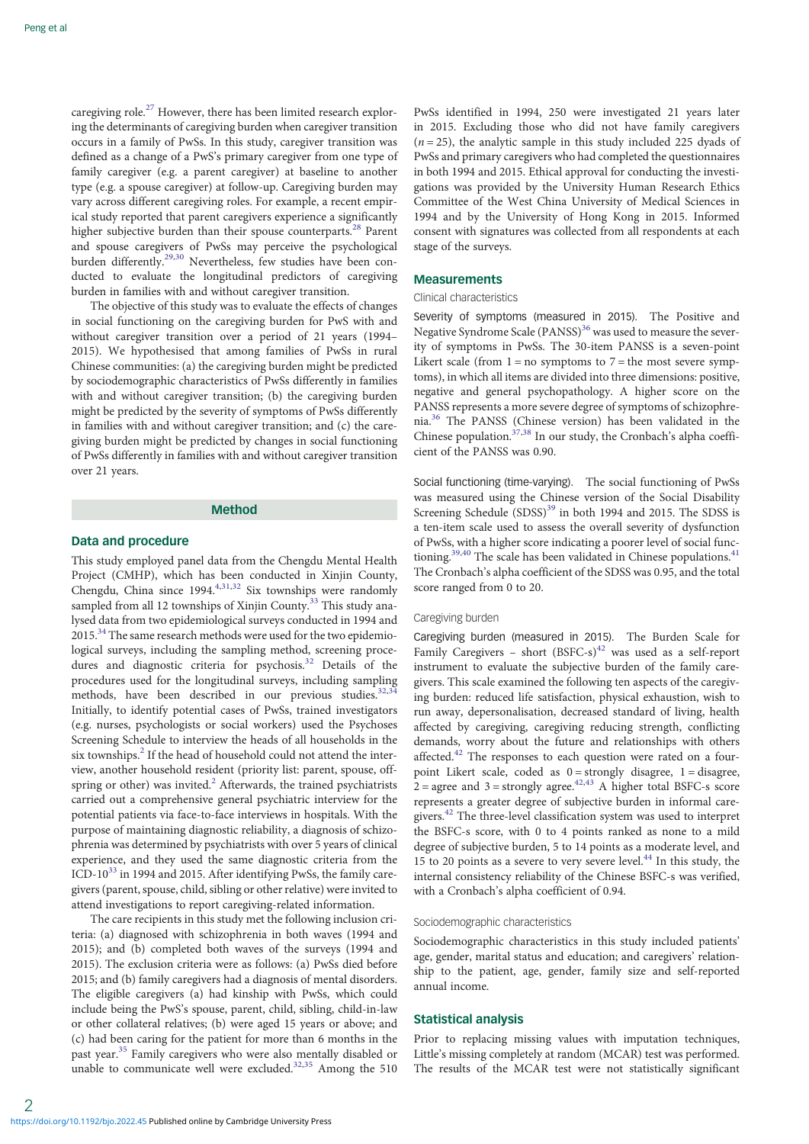caregiving role.<sup>[27](#page-6-0)</sup> However, there has been limited research exploring the determinants of caregiving burden when caregiver transition occurs in a family of PwSs. In this study, caregiver transition was defined as a change of a PwS's primary caregiver from one type of family caregiver (e.g. a parent caregiver) at baseline to another type (e.g. a spouse caregiver) at follow-up. Caregiving burden may vary across different caregiving roles. For example, a recent empirical study reported that parent caregivers experience a significantly higher subjective burden than their spouse counterparts.<sup>[28](#page-6-0)</sup> Parent and spouse caregivers of PwSs may perceive the psychological burden differently.<sup>[29,30](#page-6-0)</sup> Nevertheless, few studies have been conducted to evaluate the longitudinal predictors of caregiving burden in families with and without caregiver transition.

The objective of this study was to evaluate the effects of changes in social functioning on the caregiving burden for PwS with and without caregiver transition over a period of 21 years (1994– 2015). We hypothesised that among families of PwSs in rural Chinese communities: (a) the caregiving burden might be predicted by sociodemographic characteristics of PwSs differently in families with and without caregiver transition; (b) the caregiving burden might be predicted by the severity of symptoms of PwSs differently in families with and without caregiver transition; and (c) the caregiving burden might be predicted by changes in social functioning of PwSs differently in families with and without caregiver transition over 21 years.

## Method

# Data and procedure

This study employed panel data from the Chengdu Mental Health Project (CMHP), which has been conducted in Xinjin County, Chengdu, China since 1994.<sup>4,[31](#page-6-0),[32](#page-6-0)</sup> Six townships were randomly sampled from all 12 townships of Xinjin County.<sup>[33](#page-6-0)</sup> This study analysed data from two epidemiological surveys conducted in 1994 and 2015.<sup>[34](#page-6-0)</sup> The same research methods were used for the two epidemiological surveys, including the sampling method, screening proce-dures and diagnostic criteria for psychosis.<sup>[32](#page-6-0)</sup> Details of the procedures used for the longitudinal surveys, including sampling methods, have been described in our previous studies.<sup>[32,34](#page-6-0)</sup> Initially, to identify potential cases of PwSs, trained investigators (e.g. nurses, psychologists or social workers) used the Psychoses Screening Schedule to interview the heads of all households in the six townships. $^{2}$  $^{2}$  $^{2}$  If the head of household could not attend the interview, another household resident (priority list: parent, spouse, offspring or other) was invited. $<sup>2</sup>$  $<sup>2</sup>$  $<sup>2</sup>$  Afterwards, the trained psychiatrists</sup> carried out a comprehensive general psychiatric interview for the potential patients via face-to-face interviews in hospitals. With the purpose of maintaining diagnostic reliability, a diagnosis of schizophrenia was determined by psychiatrists with over 5 years of clinical experience, and they used the same diagnostic criteria from the ICD-10 $33$  in 1994 and 2015. After identifying PwSs, the family caregivers (parent, spouse, child, sibling or other relative) were invited to attend investigations to report caregiving-related information.

The care recipients in this study met the following inclusion criteria: (a) diagnosed with schizophrenia in both waves (1994 and 2015); and (b) completed both waves of the surveys (1994 and 2015). The exclusion criteria were as follows: (a) PwSs died before 2015; and (b) family caregivers had a diagnosis of mental disorders. The eligible caregivers (a) had kinship with PwSs, which could include being the PwS's spouse, parent, child, sibling, child-in-law or other collateral relatives; (b) were aged 15 years or above; and (c) had been caring for the patient for more than 6 months in the past year.<sup>[35](#page-6-0)</sup> Family caregivers who were also mentally disabled or unable to communicate well were excluded.<sup>[32](#page-6-0),[35](#page-6-0)</sup> Among the 510

PwSs identified in 1994, 250 were investigated 21 years later in 2015. Excluding those who did not have family caregivers  $(n = 25)$ , the analytic sample in this study included 225 dyads of PwSs and primary caregivers who had completed the questionnaires in both 1994 and 2015. Ethical approval for conducting the investigations was provided by the University Human Research Ethics Committee of the West China University of Medical Sciences in 1994 and by the University of Hong Kong in 2015. Informed consent with signatures was collected from all respondents at each stage of the surveys.

## **Measurements**

## Clinical characteristics

Severity of symptoms (measured in 2015). The Positive and Negative Syndrome Scale (PANSS)<sup>[36](#page-6-0)</sup> was used to measure the severity of symptoms in PwSs. The 30-item PANSS is a seven-point Likert scale (from  $1 = no$  symptoms to  $7 = the most severe symp$ toms), in which all items are divided into three dimensions: positive, negative and general psychopathology. A higher score on the PANSS represents a more severe degree of symptoms of schizophrenia.[36](#page-6-0) The PANSS (Chinese version) has been validated in the Chinese population. $37,38$  $37,38$  $37,38$  In our study, the Cronbach's alpha coefficient of the PANSS was 0.90.

Social functioning (time-varying). The social functioning of PwSs was measured using the Chinese version of the Social Disability Screening Schedule (SDSS)<sup>[39](#page-6-0)</sup> in both 1994 and 2015. The SDSS is a ten-item scale used to assess the overall severity of dysfunction of PwSs, with a higher score indicating a poorer level of social func-tioning.<sup>[39,40](#page-6-0)</sup> The scale has been validated in Chinese populations.<sup>41</sup> The Cronbach's alpha coefficient of the SDSS was 0.95, and the total score ranged from 0 to 20.

#### Caregiving burden

Caregiving burden (measured in 2015). The Burden Scale for Family Caregivers – short  $(BSFC-s)^{42}$  $(BSFC-s)^{42}$  $(BSFC-s)^{42}$  was used as a self-report instrument to evaluate the subjective burden of the family caregivers. This scale examined the following ten aspects of the caregiving burden: reduced life satisfaction, physical exhaustion, wish to run away, depersonalisation, decreased standard of living, health affected by caregiving, caregiving reducing strength, conflicting demands, worry about the future and relationships with others affected.<sup>[42](#page-6-0)</sup> The responses to each question were rated on a fourpoint Likert scale, coded as  $0 =$  strongly disagree,  $1 =$  disagree,  $\overline{2}$  = agree and 3 = strongly agree.<sup>[42](#page-6-0),[43](#page-6-0)</sup> A higher total BSFC-s score represents a greater degree of subjective burden in informal caregivers.[42](#page-6-0) The three-level classification system was used to interpret the BSFC-s score, with 0 to 4 points ranked as none to a mild degree of subjective burden, 5 to 14 points as a moderate level, and 15 to 20 points as a severe to very severe level.<sup>[44](#page-6-0)</sup> In this study, the internal consistency reliability of the Chinese BSFC-s was verified, with a Cronbach's alpha coefficient of 0.94.

## Sociodemographic characteristics

Sociodemographic characteristics in this study included patients' age, gender, marital status and education; and caregivers' relationship to the patient, age, gender, family size and self-reported annual income.

# Statistical analysis

Prior to replacing missing values with imputation techniques, Little's missing completely at random (MCAR) test was performed. The results of the MCAR test were not statistically significant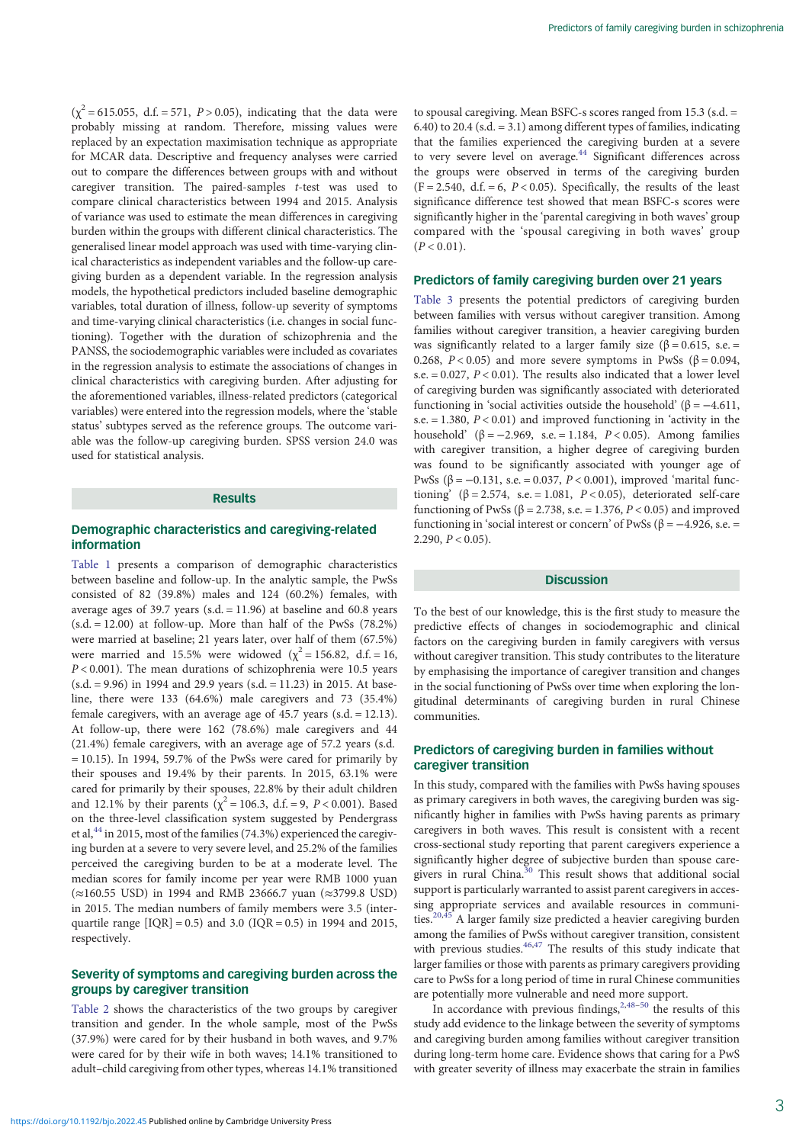$(\chi^2 = 615.055, d.f. = 571, P > 0.05)$ , indicating that the data were probably missing at random. Therefore, missing values were replaced by an expectation maximisation technique as appropriate for MCAR data. Descriptive and frequency analyses were carried out to compare the differences between groups with and without caregiver transition. The paired-samples t-test was used to compare clinical characteristics between 1994 and 2015. Analysis of variance was used to estimate the mean differences in caregiving burden within the groups with different clinical characteristics. The generalised linear model approach was used with time-varying clinical characteristics as independent variables and the follow-up caregiving burden as a dependent variable. In the regression analysis models, the hypothetical predictors included baseline demographic variables, total duration of illness, follow-up severity of symptoms and time-varying clinical characteristics (i.e. changes in social functioning). Together with the duration of schizophrenia and the PANSS, the sociodemographic variables were included as covariates in the regression analysis to estimate the associations of changes in clinical characteristics with caregiving burden. After adjusting for the aforementioned variables, illness-related predictors (categorical variables) were entered into the regression models, where the 'stable status' subtypes served as the reference groups. The outcome variable was the follow-up caregiving burden. SPSS version 24.0 was used for statistical analysis.

# **Results**

# Demographic characteristics and caregiving-related information

[Table 1](#page-3-0) presents a comparison of demographic characteristics between baseline and follow-up. In the analytic sample, the PwSs consisted of 82 (39.8%) males and 124 (60.2%) females, with average ages of 39.7 years (s.d.  $= 11.96$ ) at baseline and 60.8 years  $(s.d. = 12.00)$  at follow-up. More than half of the PwSs  $(78.2%)$ were married at baseline; 21 years later, over half of them (67.5%) were married and 15.5% were widowed ( $\chi^2$  = 156.82, d.f. = 16,  $P < 0.001$ ). The mean durations of schizophrenia were 10.5 years (s.d. = 9.96) in 1994 and 29.9 years (s.d. = 11.23) in 2015. At baseline, there were 133 (64.6%) male caregivers and 73 (35.4%) female caregivers, with an average age of 45.7 years (s.d. = 12.13). At follow-up, there were 162 (78.6%) male caregivers and 44 (21.4%) female caregivers, with an average age of 57.2 years (s.d.  $= 10.15$ ). In 1994, 59.7% of the PwSs were cared for primarily by their spouses and 19.4% by their parents. In 2015, 63.1% were cared for primarily by their spouses, 22.8% by their adult children and 12.1% by their parents ( $\chi^2 = 106.3$ , d.f. = 9, P < 0.001). Based on the three-level classification system suggested by Pendergrass et al, $^{44}$  $^{44}$  $^{44}$  in 2015, most of the families (74.3%) experienced the caregiving burden at a severe to very severe level, and 25.2% of the families perceived the caregiving burden to be at a moderate level. The median scores for family income per year were RMB 1000 yuan (≈160.55 USD) in 1994 and RMB 23666.7 yuan (≈3799.8 USD) in 2015. The median numbers of family members were 3.5 (interquartile range  $[IQR] = 0.5$ ) and 3.0 ( $IQR = 0.5$ ) in 1994 and 2015, respectively.

# Severity of symptoms and caregiving burden across the groups by caregiver transition

[Table 2](#page-3-0) shows the characteristics of the two groups by caregiver transition and gender. In the whole sample, most of the PwSs (37.9%) were cared for by their husband in both waves, and 9.7% were cared for by their wife in both waves; 14.1% transitioned to adult–child caregiving from other types, whereas 14.1% transitioned

to spousal caregiving. Mean BSFC-s scores ranged from 15.3 (s.d. = 6.40) to 20.4 (s.d. = 3.1) among different types of families, indicating that the families experienced the caregiving burden at a severe to very severe level on average.<sup>[44](#page-6-0)</sup> Significant differences across the groups were observed in terms of the caregiving burden  $(F = 2.540, d.f. = 6, P < 0.05)$ . Specifically, the results of the least significance difference test showed that mean BSFC-s scores were significantly higher in the 'parental caregiving in both waves' group compared with the 'spousal caregiving in both waves' group  $(P < 0.01)$ .

# Predictors of family caregiving burden over 21 years

[Table 3](#page-4-0) presents the potential predictors of caregiving burden between families with versus without caregiver transition. Among families without caregiver transition, a heavier caregiving burden was significantly related to a larger family size ( $\beta$  = 0.615, s.e. = 0.268,  $P < 0.05$ ) and more severe symptoms in PwSs ( $\beta = 0.094$ , s.e.  $= 0.027$ ,  $P < 0.01$ ). The results also indicated that a lower level of caregiving burden was significantly associated with deteriorated functioning in 'social activities outside the household' (β = −4.611, s.e.  $= 1.380, P < 0.01$ ) and improved functioning in 'activity in the household' (β = -2.969, s.e. = 1.184,  $P < 0.05$ ). Among families with caregiver transition, a higher degree of caregiving burden was found to be significantly associated with younger age of PwSs ( $β = -0.131$ , s.e. = 0.037,  $P < 0.001$ ), improved 'marital functioning' ( $\beta$  = 2.574, s.e. = 1.081, P < 0.05), deteriorated self-care functioning of PwSs (β = 2.738, s.e. = 1.376, P < 0.05) and improved functioning in 'social interest or concern' of PwSs (β =  $-4.926$ , s.e. = 2.290,  $P < 0.05$ ).

# **Discussion**

To the best of our knowledge, this is the first study to measure the predictive effects of changes in sociodemographic and clinical factors on the caregiving burden in family caregivers with versus without caregiver transition. This study contributes to the literature by emphasising the importance of caregiver transition and changes in the social functioning of PwSs over time when exploring the longitudinal determinants of caregiving burden in rural Chinese communities.

# Predictors of caregiving burden in families without caregiver transition

In this study, compared with the families with PwSs having spouses as primary caregivers in both waves, the caregiving burden was significantly higher in families with PwSs having parents as primary caregivers in both waves. This result is consistent with a recent cross-sectional study reporting that parent caregivers experience a significantly higher degree of subjective burden than spouse care-givers in rural China.<sup>[30](#page-6-0)</sup> This result shows that additional social support is particularly warranted to assist parent caregivers in accessing appropriate services and available resources in communi-ties.<sup>[20,45](#page-6-0)</sup> A larger family size predicted a heavier caregiving burden among the families of PwSs without caregiver transition, consistent with previous studies.  $46,47$  The results of this study indicate that larger families or those with parents as primary caregivers providing care to PwSs for a long period of time in rural Chinese communities are potentially more vulnerable and need more support.

In accordance with previous findings,  $2,48-50$  $2,48-50$  $2,48-50$  $2,48-50$  the results of this study add evidence to the linkage between the severity of symptoms and caregiving burden among families without caregiver transition during long-term home care. Evidence shows that caring for a PwS with greater severity of illness may exacerbate the strain in families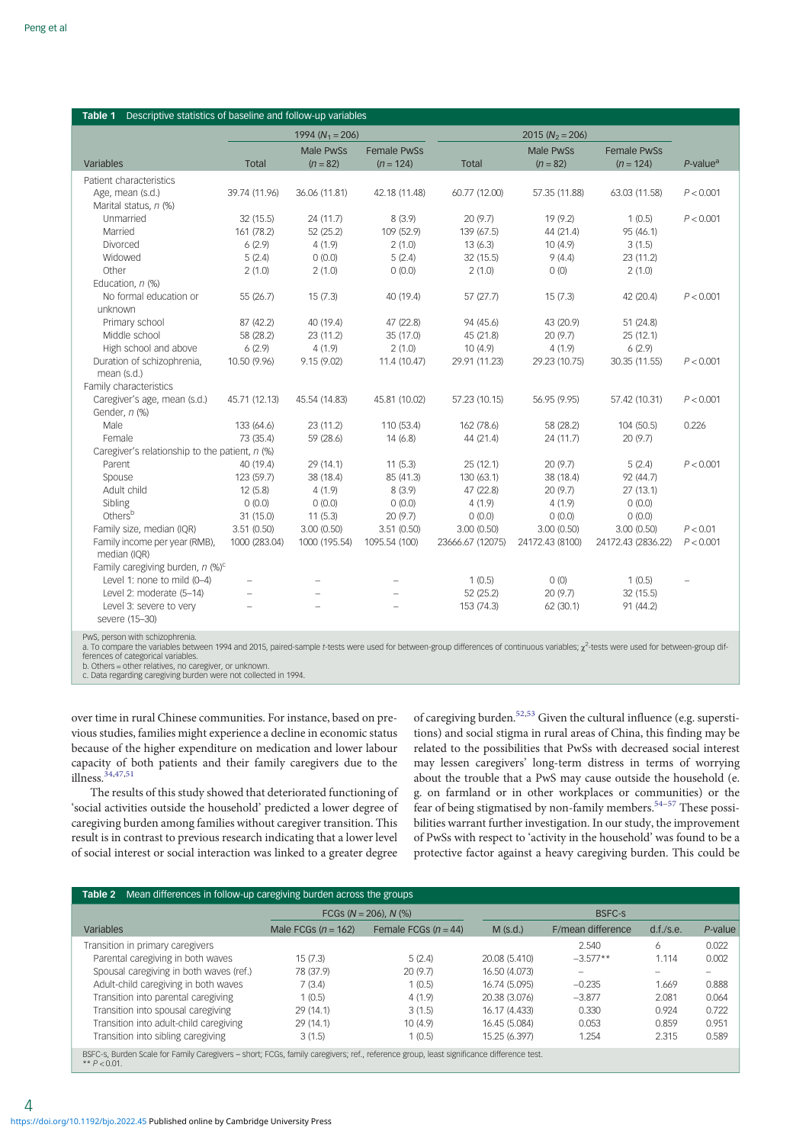<span id="page-3-0"></span>

| Descriptive statistics of baseline and follow-up variables<br>Table 1                                                                                                                                                          |                     |                                |                                   |                  |                         |                                   |                         |  |
|--------------------------------------------------------------------------------------------------------------------------------------------------------------------------------------------------------------------------------|---------------------|--------------------------------|-----------------------------------|------------------|-------------------------|-----------------------------------|-------------------------|--|
|                                                                                                                                                                                                                                | 1994 ( $N_1$ = 206) |                                |                                   |                  |                         |                                   |                         |  |
| Variables                                                                                                                                                                                                                      | <b>Total</b>        | <b>Male PwSs</b><br>$(n = 82)$ | <b>Female PwSs</b><br>$(n = 124)$ | <b>Total</b>     | Male PwSs<br>$(n = 82)$ | <b>Female PwSs</b><br>$(n = 124)$ | $P$ -value <sup>a</sup> |  |
| Patient characteristics                                                                                                                                                                                                        |                     |                                |                                   |                  |                         |                                   |                         |  |
| Age, mean (s.d.)                                                                                                                                                                                                               | 39.74 (11.96)       | 36.06 (11.81)                  | 42.18 (11.48)                     | 60.77 (12.00)    | 57.35 (11.88)           | 63.03 (11.58)                     | P < 0.001               |  |
| Marital status, n (%)                                                                                                                                                                                                          |                     |                                |                                   |                  |                         |                                   |                         |  |
| Unmarried                                                                                                                                                                                                                      | 32 (15.5)           | 24 (11.7)                      | 8(3.9)                            | 20(9.7)          | 19 (9.2)                | 1(0.5)                            | P < 0.001               |  |
| Married                                                                                                                                                                                                                        | 161 (78.2)          | 52 (25.2)                      | 109 (52.9)                        | 139 (67.5)       | 44 (21.4)               | 95 (46.1)                         |                         |  |
| Divorced                                                                                                                                                                                                                       | 6(2.9)              | 4(1.9)                         | 2(1.0)                            | 13(6.3)          | 10(4.9)                 | 3(1.5)                            |                         |  |
| Widowed                                                                                                                                                                                                                        | 5(2.4)              | 0(0.0)                         | 5(2.4)                            | 32 (15.5)        | 9(4.4)                  | 23 (11.2)                         |                         |  |
| Other                                                                                                                                                                                                                          | 2(1.0)              | 2(1.0)                         | 0(0.0)                            | 2(1.0)           | O(0)                    | 2(1.0)                            |                         |  |
| Education, n (%)                                                                                                                                                                                                               |                     |                                |                                   |                  |                         |                                   |                         |  |
| No formal education or                                                                                                                                                                                                         | 55 (26.7)           | 15(7.3)                        | 40 (19.4)                         | 57(27.7)         | 15(7.3)                 | 42 (20.4)                         | P < 0.001               |  |
| unknown                                                                                                                                                                                                                        |                     |                                |                                   |                  |                         |                                   |                         |  |
| Primary school                                                                                                                                                                                                                 | 87 (42.2)           | 40 (19.4)                      | 47 (22.8)                         | 94 (45.6)        | 43 (20.9)               | 51 (24.8)                         |                         |  |
| Middle school                                                                                                                                                                                                                  | 58 (28.2)           | 23 (11.2)                      | 35 (17.0)                         | 45 (21.8)        | 20 (9.7)                | 25(12.1)                          |                         |  |
| High school and above                                                                                                                                                                                                          | 6(2.9)              | 4(1.9)                         | 2(1.0)                            | 10(4.9)          | 4(1.9)                  | 6(2.9)                            |                         |  |
| Duration of schizophrenia,                                                                                                                                                                                                     | 10.50 (9.96)        | 9.15(9.02)                     | 11.4 (10.47)                      | 29.91 (11.23)    | 29.23 (10.75)           | 30.35 (11.55)                     | P < 0.001               |  |
| mean (s.d.)                                                                                                                                                                                                                    |                     |                                |                                   |                  |                         |                                   |                         |  |
| Family characteristics                                                                                                                                                                                                         |                     |                                |                                   |                  |                         |                                   |                         |  |
| Caregiver's age, mean (s.d.)                                                                                                                                                                                                   | 45.71 (12.13)       | 45.54 (14.83)                  | 45.81 (10.02)                     | 57.23 (10.15)    | 56.95 (9.95)            | 57.42 (10.31)                     | P < 0.001               |  |
| Gender, n (%)                                                                                                                                                                                                                  |                     |                                |                                   |                  |                         |                                   |                         |  |
| Male                                                                                                                                                                                                                           | 133 (64.6)          | 23 (11.2)                      | 110 (53.4)                        | 162 (78.6)       | 58 (28.2)               | 104 (50.5)                        | 0.226                   |  |
| Female                                                                                                                                                                                                                         | 73 (35.4)           | 59 (28.6)                      | 14(6.8)                           | 44 (21.4)        | 24 (11.7)               | 20(9.7)                           |                         |  |
| Caregiver's relationship to the patient, n (%)                                                                                                                                                                                 |                     |                                |                                   |                  |                         |                                   |                         |  |
| Parent                                                                                                                                                                                                                         | 40 (19.4)           | 29 (14.1)                      | 11(5.3)                           | 25(12.1)         | 20 (9.7)                | 5(2.4)                            | P < 0.001               |  |
| Spouse                                                                                                                                                                                                                         | 123 (59.7)          | 38 (18.4)                      | 85 (41.3)                         | 130 (63.1)       | 38 (18.4)               | 92 (44.7)                         |                         |  |
| Adult child                                                                                                                                                                                                                    | 12(5.8)             | 4(1.9)                         | 8(3.9)                            | 47 (22.8)        | 20 (9.7)                | 27(13.1)                          |                         |  |
| Sibling                                                                                                                                                                                                                        | 0(0.0)              | 0(0.0)                         | 0(0.0)                            | 4(1.9)           | 4(1.9)                  | 0(0.0)                            |                         |  |
| Othersb                                                                                                                                                                                                                        | 31 (15.0)           | 11(5.3)                        | 20(9.7)                           | 0(0.0)           | 0(0.0)                  | 0(0.0)                            |                         |  |
| Family size, median (IQR)                                                                                                                                                                                                      | 3.51(0.50)          | 3.00(0.50)                     | 3.51(0.50)                        | 3.00(0.50)       | 3.00(0.50)              | 3.00(0.50)                        | P < 0.01                |  |
| Family income per year (RMB),<br>median (IQR)                                                                                                                                                                                  | 1000 (283.04)       | 1000 (195.54)                  | 1095.54 (100)                     | 23666.67 (12075) | 24172.43 (8100)         | 24172.43 (2836.22)                | P < 0.001               |  |
| Family caregiving burden, $n$ (%) <sup>c</sup>                                                                                                                                                                                 |                     |                                |                                   |                  |                         |                                   |                         |  |
| Level 1: none to mild (0-4)                                                                                                                                                                                                    |                     |                                |                                   | 1(0.5)           | O(0)                    | 1(0.5)                            |                         |  |
| Level 2: moderate (5-14)                                                                                                                                                                                                       |                     |                                |                                   | 52 (25.2)        | 20(9.7)                 | 32 (15.5)                         |                         |  |
| Level 3: severe to very                                                                                                                                                                                                        |                     |                                |                                   | 153 (74.3)       | 62 (30.1)               | 91 (44.2)                         |                         |  |
| severe (15-30)                                                                                                                                                                                                                 |                     |                                |                                   |                  |                         |                                   |                         |  |
|                                                                                                                                                                                                                                |                     |                                |                                   |                  |                         |                                   |                         |  |
| PwS, person with schizophrenia.<br>a To compare the variables between 1994 and 2015, paired-sample t-tests were used for between-group differences of continuous variables: $\alpha^2$ -tests were used for between-group dif- |                     |                                |                                   |                  |                         |                                   |                         |  |

a. To compare the variables between 1994 and 2015, paired-sample t-tests were used for between-group differences of continuous variables;  $\chi^2$ -tests were used for between-group differences of categorical variables.

b. Others = other relatives, no caregiver, or unknown. c. Data regarding caregiving burden were not collected in 1994.

over time in rural Chinese communities. For instance, based on previous studies, families might experience a decline in economic status because of the higher expenditure on medication and lower labour capacity of both patients and their family caregivers due to the illness.  $34,47,51$ 

The results of this study showed that deteriorated functioning of 'social activities outside the household' predicted a lower degree of caregiving burden among families without caregiver transition. This result is in contrast to previous research indicating that a lower level of social interest or social interaction was linked to a greater degree of caregiving burden.[52](#page-6-0),[53](#page-6-0) Given the cultural influence (e.g. superstitions) and social stigma in rural areas of China, this finding may be related to the possibilities that PwSs with decreased social interest may lessen caregivers' long-term distress in terms of worrying about the trouble that a PwS may cause outside the household (e. g. on farmland or in other workplaces or communities) or the fear of being stigmatised by non-family members.<sup>[54](#page-6-0)-[57](#page-6-0)</sup> These possibilities warrant further investigation. In our study, the improvement of PwSs with respect to 'activity in the household' was found to be a protective factor against a heavy caregiving burden. This could be

|                                         |                       | FCGs ( $N = 206$ ), $N$ (%) | BSFC-S        |                   |           |         |
|-----------------------------------------|-----------------------|-----------------------------|---------------|-------------------|-----------|---------|
| Variables                               | Male FCGs $(n = 162)$ | Female FCGs $(n = 44)$      | $M$ (s.d.)    | F/mean difference | d.f./s.e. | P-value |
| Transition in primary caregivers        |                       |                             |               | 2.540             | 6         | 0.022   |
| Parental caregiving in both waves       | 15(7.3)               | 5(2.4)                      | 20.08 (5.410) | $-3.577**$        | 1.114     | 0.002   |
| Spousal caregiving in both waves (ref.) | 78 (37.9)             | 20(9.7)                     | 16.50 (4.073) |                   |           |         |
| Adult-child caregiving in both waves    | 7(3.4)                | 1(0.5)                      | 16.74 (5.095) | $-0.235$          | 1.669     | 0.888   |
| Transition into parental caregiving     | 1(0.5)                | 4(1.9)                      | 20.38 (3.076) | $-3.877$          | 2.081     | 0.064   |
| Transition into spousal caregiving      | 29(14.1)              | 3(1.5)                      | 16.17 (4.433) | 0.330             | 0.924     | 0.722   |
| Transition into adult-child caregiving  | 29(14.1)              | 10(4.9)                     | 16.45 (5.084) | 0.053             | 0.859     | 0.951   |
| Transition into sibling caregiving      | 3(1.5)                | 1(0.5)                      | 15.25 (6.397) | 1.254             | 2.315     | 0.589   |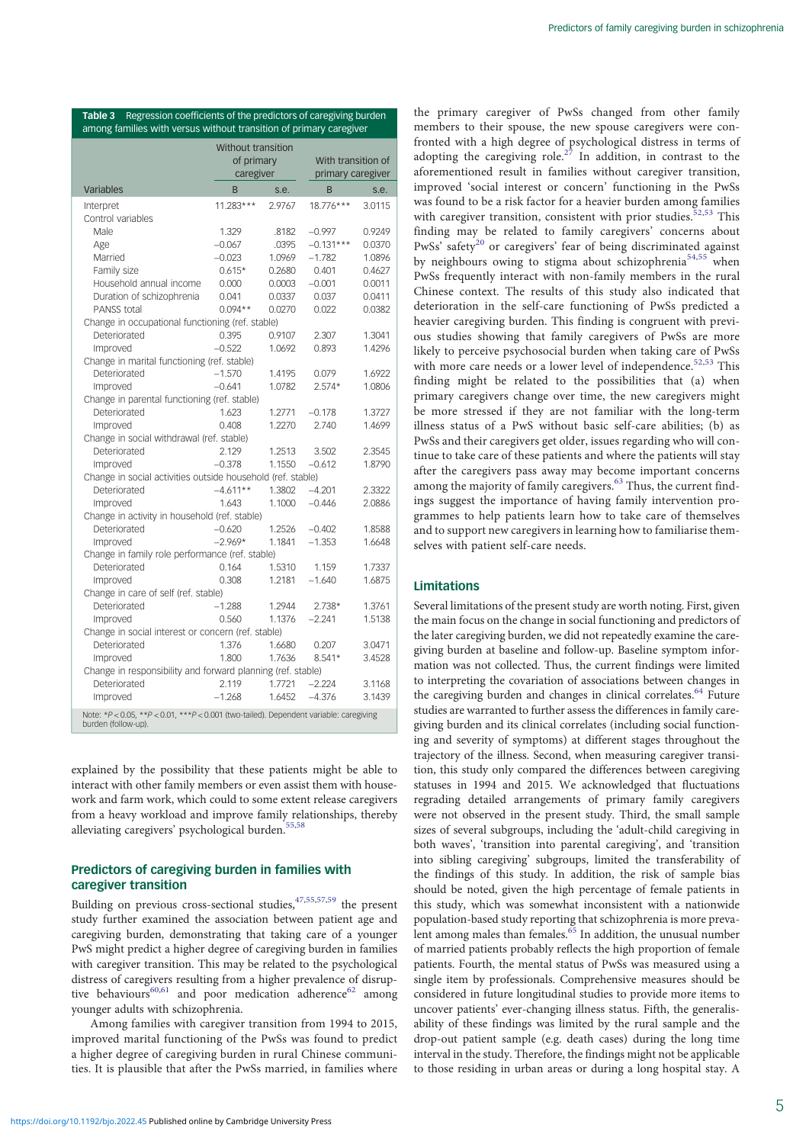| among families with versus without transition of primary caregiver                                            |                    |        |                    |        |  |  |  |
|---------------------------------------------------------------------------------------------------------------|--------------------|--------|--------------------|--------|--|--|--|
|                                                                                                               | Without transition |        |                    |        |  |  |  |
|                                                                                                               | of primary         |        | With transition of |        |  |  |  |
|                                                                                                               | caregiver          |        | primary caregiver  |        |  |  |  |
| Variables                                                                                                     | B                  | s.e.   | B                  | s.e.   |  |  |  |
| Interpret                                                                                                     | 11.283***          | 2.9767 | 18.776***          | 3.0115 |  |  |  |
| Control variables                                                                                             |                    |        |                    |        |  |  |  |
| Male                                                                                                          | 1.329              | .8182  | $-0.997$           | 0.9249 |  |  |  |
| Age                                                                                                           | $-0.067$           | .0395  | $-0.131***$        | 0.0370 |  |  |  |
| Married                                                                                                       | $-0.023$           | 1.0969 | $-1.782$           | 1.0896 |  |  |  |
| Family size                                                                                                   | $0.615*$           | 0.2680 | 0.401              | 0.4627 |  |  |  |
| Household annual income                                                                                       | 0.000              | 0.0003 | $-0.001$           | 0.0011 |  |  |  |
| Duration of schizophrenia                                                                                     | 0.041              | 0.0337 | 0.037              | 0.0411 |  |  |  |
| PANSS total                                                                                                   | $0.094**$          | 0.0270 | 0.022              | 0.0382 |  |  |  |
| Change in occupational functioning (ref. stable)                                                              |                    |        |                    |        |  |  |  |
| Deteriorated                                                                                                  | 0.395              | 0.9107 | 2.307              | 1.3041 |  |  |  |
| Improved                                                                                                      | $-0.522$           | 1.0692 | 0.893              | 1.4296 |  |  |  |
| Change in marital functioning (ref. stable)                                                                   |                    |        |                    |        |  |  |  |
| Deteriorated                                                                                                  | $-1.570$           | 1.4195 | 0.079              | 1.6922 |  |  |  |
| Improved                                                                                                      | $-0.641$           | 1.0782 | $2.574*$           | 1.0806 |  |  |  |
| Change in parental functioning (ref. stable)                                                                  |                    |        |                    |        |  |  |  |
| Deteriorated                                                                                                  | 1.623              | 1.2771 | $-0.178$           | 1.3727 |  |  |  |
| Improved                                                                                                      | 0.408              | 1.2270 | 2.740              | 1.4699 |  |  |  |
| Change in social withdrawal (ref. stable)                                                                     |                    |        |                    |        |  |  |  |
| Deteriorated                                                                                                  | 2.129              | 1.2513 | 3.502              | 2.3545 |  |  |  |
| Improved                                                                                                      | $-0.378$           | 1.1550 | $-0.612$           | 1.8790 |  |  |  |
| Change in social activities outside household (ref. stable)                                                   |                    |        |                    |        |  |  |  |
| Deteriorated                                                                                                  | $-4.611**$         | 1.3802 | $-4.201$           | 2.3322 |  |  |  |
| Improved                                                                                                      | 1.643              | 1.1000 | $-0.446$           | 2.0886 |  |  |  |
| Change in activity in household (ref. stable)                                                                 |                    |        |                    |        |  |  |  |
| Deteriorated                                                                                                  | $-0.620$           | 1.2526 | $-0.402$           | 1.8588 |  |  |  |
| Improved                                                                                                      | $-2.969*$          | 1.1841 | $-1.353$           | 1.6648 |  |  |  |
| Change in family role performance (ref. stable)                                                               |                    |        |                    |        |  |  |  |
| Deteriorated                                                                                                  | 0.164              | 1.5310 | 1.159              | 1.7337 |  |  |  |
| Improved                                                                                                      | 0.308              | 1.2181 | $-1.640$           | 1.6875 |  |  |  |
| Change in care of self (ref. stable)                                                                          |                    |        |                    |        |  |  |  |
| Deteriorated                                                                                                  | $-1.288$           | 1.2944 | $2.738*$           | 1.3761 |  |  |  |
| Improved                                                                                                      | 0.560              | 1.1376 | $-2.241$           | 1.5138 |  |  |  |
| Change in social interest or concern (ref. stable)                                                            |                    |        |                    |        |  |  |  |
| Deteriorated                                                                                                  | 1.376              | 1.6680 | 0.207              | 3.0471 |  |  |  |
| 1.800<br>1.7636<br>$8.541*$<br>3.4528<br>Improved                                                             |                    |        |                    |        |  |  |  |
| Change in responsibility and forward planning (ref. stable)                                                   |                    |        |                    |        |  |  |  |
| Deteriorated                                                                                                  | 2.119              | 1.7721 | $-2.224$           | 3.1168 |  |  |  |
| Improved                                                                                                      | $-1.268$           | 1.6452 | $-4.376$           | 3.1439 |  |  |  |
| Note: *P < 0.05, **P < 0.01, ***P < 0.001 (two-tailed). Dependent variable: caregiving<br>burden (follow-up). |                    |        |                    |        |  |  |  |

<span id="page-4-0"></span>Table 3 Regression coefficients of the predictors of caregiving burden

explained by the possibility that these patients might be able to interact with other family members or even assist them with housework and farm work, which could to some extent release caregivers from a heavy workload and improve family relationships, thereby alleviating caregivers' psychological burden.<sup>[55,58](#page-6-0)</sup>

# Predictors of caregiving burden in families with caregiver transition

Building on previous cross-sectional studies[,47,55,57,59](#page-6-0) the present study further examined the association between patient age and caregiving burden, demonstrating that taking care of a younger PwS might predict a higher degree of caregiving burden in families with caregiver transition. This may be related to the psychological distress of caregivers resulting from a higher prevalence of disrup-tive behaviours<sup>[60,61](#page-6-0)</sup> and poor medication adherence<sup>[62](#page-6-0)</sup> among younger adults with schizophrenia.

Among families with caregiver transition from 1994 to 2015, improved marital functioning of the PwSs was found to predict a higher degree of caregiving burden in rural Chinese communities. It is plausible that after the PwSs married, in families where the primary caregiver of PwSs changed from other family members to their spouse, the new spouse caregivers were confronted with a high degree of psychological distress in terms of adopting the caregiving role.<sup>[27](#page-6-0)</sup> In addition, in contrast to the aforementioned result in families without caregiver transition, improved 'social interest or concern' functioning in the PwSs was found to be a risk factor for a heavier burden among families with caregiver transition, consistent with prior studies.<sup>[52,53](#page-6-0)</sup> This finding may be related to family caregivers' concerns about PwSs' safety<sup>[20](#page-6-0)</sup> or caregivers' fear of being discriminated against by neighbours owing to stigma about schizophrenia<sup>[54](#page-6-0),[55](#page-6-0)</sup> when PwSs frequently interact with non-family members in the rural Chinese context. The results of this study also indicated that deterioration in the self-care functioning of PwSs predicted a heavier caregiving burden. This finding is congruent with previous studies showing that family caregivers of PwSs are more likely to perceive psychosocial burden when taking care of PwSs with more care needs or a lower level of independence.<sup>[52](#page-6-0),[53](#page-6-0)</sup> This finding might be related to the possibilities that (a) when primary caregivers change over time, the new caregivers might be more stressed if they are not familiar with the long-term illness status of a PwS without basic self-care abilities; (b) as PwSs and their caregivers get older, issues regarding who will continue to take care of these patients and where the patients will stay after the caregivers pass away may become important concerns among the majority of family caregivers.<sup>[63](#page-6-0)</sup> Thus, the current findings suggest the importance of having family intervention programmes to help patients learn how to take care of themselves and to support new caregivers in learning how to familiarise themselves with patient self-care needs.

# Limitations

Several limitations of the present study are worth noting. First, given the main focus on the change in social functioning and predictors of the later caregiving burden, we did not repeatedly examine the caregiving burden at baseline and follow-up. Baseline symptom information was not collected. Thus, the current findings were limited to interpreting the covariation of associations between changes in the caregiving burden and changes in clinical correlates.<sup>[64](#page-6-0)</sup> Future studies are warranted to further assess the differences in family caregiving burden and its clinical correlates (including social functioning and severity of symptoms) at different stages throughout the trajectory of the illness. Second, when measuring caregiver transition, this study only compared the differences between caregiving statuses in 1994 and 2015. We acknowledged that fluctuations regrading detailed arrangements of primary family caregivers were not observed in the present study. Third, the small sample sizes of several subgroups, including the 'adult-child caregiving in both waves', 'transition into parental caregiving', and 'transition into sibling caregiving' subgroups, limited the transferability of the findings of this study. In addition, the risk of sample bias should be noted, given the high percentage of female patients in this study, which was somewhat inconsistent with a nationwide population-based study reporting that schizophrenia is more preva-lent among males than females.<sup>[65](#page-6-0)</sup> In addition, the unusual number of married patients probably reflects the high proportion of female patients. Fourth, the mental status of PwSs was measured using a single item by professionals. Comprehensive measures should be considered in future longitudinal studies to provide more items to uncover patients' ever-changing illness status. Fifth, the generalisability of these findings was limited by the rural sample and the drop-out patient sample (e.g. death cases) during the long time interval in the study. Therefore, the findings might not be applicable to those residing in urban areas or during a long hospital stay. A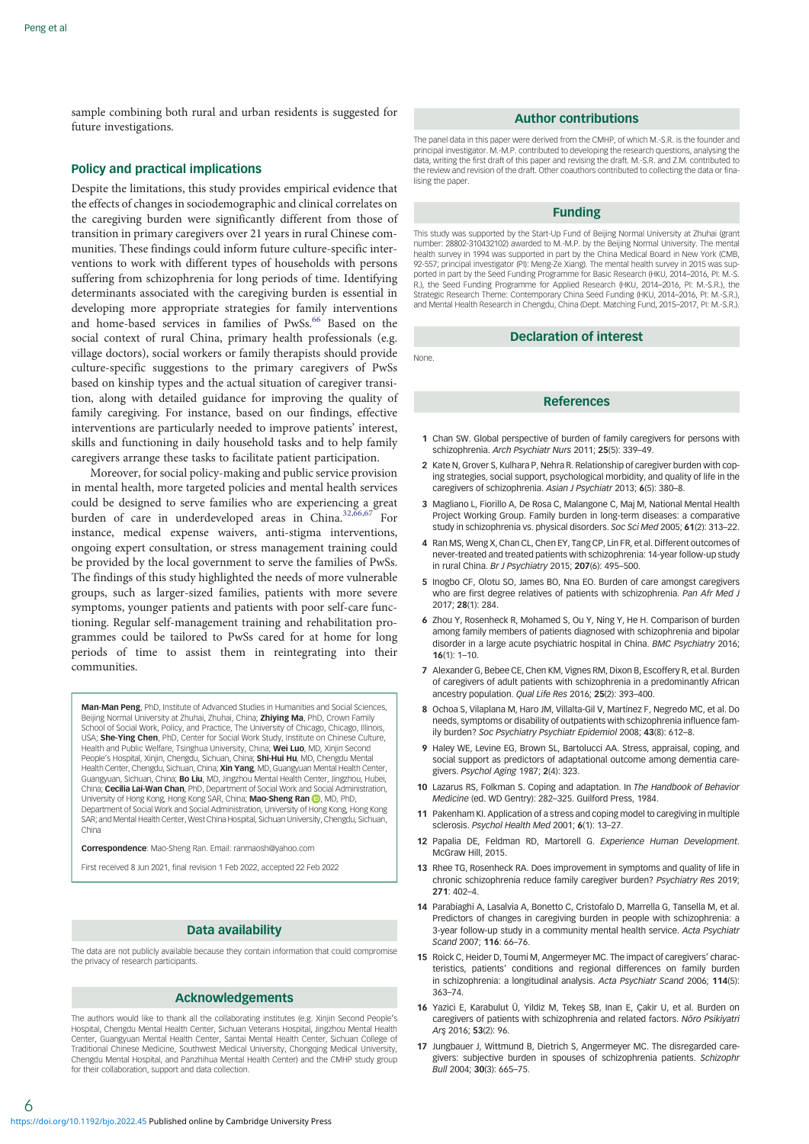<span id="page-5-0"></span>sample combining both rural and urban residents is suggested for future investigations.

## Policy and practical implications

Despite the limitations, this study provides empirical evidence that the effects of changes in sociodemographic and clinical correlates on the caregiving burden were significantly different from those of transition in primary caregivers over 21 years in rural Chinese communities. These findings could inform future culture-specific interventions to work with different types of households with persons suffering from schizophrenia for long periods of time. Identifying determinants associated with the caregiving burden is essential in developing more appropriate strategies for family interventions and home-based services in families of PwSs.<sup>[66](#page-6-0)</sup> Based on the social context of rural China, primary health professionals (e.g. village doctors), social workers or family therapists should provide culture-specific suggestions to the primary caregivers of PwSs based on kinship types and the actual situation of caregiver transition, along with detailed guidance for improving the quality of family caregiving. For instance, based on our findings, effective interventions are particularly needed to improve patients' interest, skills and functioning in daily household tasks and to help family caregivers arrange these tasks to facilitate patient participation.

Moreover, for social policy-making and public service provision in mental health, more targeted policies and mental health services could be designed to serve families who are experiencing a great burden of care in underdeveloped areas in China.<sup>[32,66,67](#page-6-0)</sup> For instance, medical expense waivers, anti-stigma interventions, ongoing expert consultation, or stress management training could be provided by the local government to serve the families of PwSs. The findings of this study highlighted the needs of more vulnerable groups, such as larger-sized families, patients with more severe symptoms, younger patients and patients with poor self-care functioning. Regular self-management training and rehabilitation programmes could be tailored to PwSs cared for at home for long periods of time to assist them in reintegrating into their communities.

Man-Man Peng, PhD, Institute of Advanced Studies in Humanities and Social Sciences, Beijing Normal University at Zhuhai, Zhuhai, China: Zhiving Ma, PhD, Crown Family of Social Work, Policy, and Practice, The University of Chicago, Chicago, Illinois, USA; She-Ying Chen, PhD, Center for Social Work Study, Institute on Chinese Culture, Health and Public Welfare, Tsinghua University, China; Wei Luo, MD, Xinjin Second People's Hospital, Xinjin, Chengdu, Sichuan, China; Shi-Hui Hu, MD, Chengdu Mental Health Center, Chengdu, Sichuan, China; **Xin Yang**, MD, Guangyuan Mental Health Center,<br>Guangyuan, Sichuan, China; **Bo Liu**, MD, Jingzhou Mental Health Center, Jingzhou, Hubei, China; Cecilia Lai-Wan Chan, PhD, Department of Social Work and Social Administration, University of Hong Kong[,](https://orcid.org/0000-0001-7343-3729) Hong Kong SAR, China; Mao-Sheng Ran D, MD, PhD, Department of Social Work and Social Administration, University of Hong Kong, Hong Kong SAR; and Mental Health Center, West China Hospital, Sichuan University, Chengdu, Sichuan, China

Correspondence: Mao-Sheng Ran. Email: ranmaosh@yahoo.com

First received 8 Jun 2021, final revision 1 Feb 2022, accepted 22 Feb 2022

## Data availability

The data are not publicly available because they contain information that could compromise the privacy of research participants.

#### Acknowledgements

The authors would like to thank all the collaborating institutes (e.g. Xinjin Second People's Hospital, Chengdu Mental Health Center, Sichuan Veterans Hospital, Jingzhou Mental Health Center, Guangyuan Mental Health Center, Santai Mental Health Center, Sichuan College of Traditional Chinese Medicine, Southwest Medical University, Chongqing Medical University, Chengdu Mental Hospital, and Panzhihua Mental Health Center) and the CMHP study group for their collaboration, support and data collection.

#### Author contributions

The panel data in this paper were derived from the CMHP, of which M.-S.R. is the founder and principal investigator. M.-M.P. contributed to developing the research questions, analysing the data, writing the first draft of this paper and revising the draft. M.-S.R. and Z.M. contributed to the review and revision of the draft. Other coauthors contributed to collecting the data or finalising the paper

## Funding

This study was supported by the Start-Up Fund of Beijing Normal University at Zhuhai (grant number: 28802-310432102) awarded to M.-M.P. by the Beijing Normal University. The mental health survey in 1994 was supported in part by the China Medical Board in New York (CMB, 92-557; principal investigator (PI): Meng-Ze Xiang). The mental health survey in 2015 was supported in part by the Seed Funding Programme for Basic Research (HKU, 2014–2016, PI: M.-S. R.), the Seed Funding Programme for Applied Research (HKU, 2014–2016, PI: M.-S.R.), the Strategic Research Theme: Contemporary China Seed Funding (HKU, 2014–2016, PI: M.-S.R.), and Mental Health Research in Chengdu, China (Dept. Matching Fund, 2015–2017, PI: M.-S.R.).

## Declaration of interest

None.

## **References**

- 1 Chan SW. Global perspective of burden of family caregivers for persons with schizophrenia. Arch Psychiatr Nurs 2011; 25(5): 339–49.
- 2 Kate N, Grover S, Kulhara P, Nehra R. Relationship of caregiver burden with coping strategies, social support, psychological morbidity, and quality of life in the caregivers of schizophrenia. Asian J Psychiatr 2013; 6(5): 380–8.
- 3 Magliano L, Fiorillo A, De Rosa C, Malangone C, Maj M, National Mental Health Project Working Group. Family burden in long-term diseases: a comparative study in schizophrenia vs. physical disorders. Soc Sci Med 2005; 61(2): 313–22.
- 4 Ran MS, Weng X, Chan CL, Chen EY, Tang CP, Lin FR, et al. Different outcomes of never-treated and treated patients with schizophrenia: 14-year follow-up study in rural China. Br J Psychiatry 2015; 207(6): 495–500.
- 5 Inogbo CF, Olotu SO, James BO, Nna EO. Burden of care amongst caregivers who are first degree relatives of patients with schizophrenia. Pan Afr Med J 2017; 28(1): 284.
- 6 Zhou Y, Rosenheck R, Mohamed S, Ou Y, Ning Y, He H. Comparison of burden among family members of patients diagnosed with schizophrenia and bipolar disorder in a large acute psychiatric hospital in China. BMC Psychiatry 2016; 16(1): 1–10.
- 7 Alexander G, Bebee CE, Chen KM, Vignes RM, Dixon B, Escoffery R, et al. Burden of caregivers of adult patients with schizophrenia in a predominantly African ancestry population. Qual Life Res 2016; 25(2): 393–400.
- 8 Ochoa S, Vilaplana M, Haro JM, Villalta-Gil V, Martínez F, Negredo MC, et al. Do needs, symptoms or disability of outpatients with schizophrenia influence family burden? Soc Psychiatry Psychiatr Epidemiol 2008; 43(8): 612–8.
- 9 Haley WE, Levine EG, Brown SL, Bartolucci AA. Stress, appraisal, coping, and social support as predictors of adaptational outcome among dementia caregivers. Psychol Aging 1987; 2(4): 323.
- 10 Lazarus RS, Folkman S. Coping and adaptation. In The Handbook of Behavior Medicine (ed. WD Gentry): 282–325. Guilford Press, 1984.
- 11 Pakenham KI. Application of a stress and coping model to caregiving in multiple sclerosis. Psychol Health Med 2001; 6(1): 13–27.
- 12 Papalia DE, Feldman RD, Martorell G. Experience Human Development. McGraw Hill, 2015.
- 13 Rhee TG, Rosenheck RA. Does improvement in symptoms and quality of life in chronic schizophrenia reduce family caregiver burden? Psychiatry Res 2019; 271: 402–4.
- 14 Parabiaghi A, Lasalvia A, Bonetto C, Cristofalo D, Marrella G, Tansella M, et al. Predictors of changes in caregiving burden in people with schizophrenia: a 3-year follow-up study in a community mental health service. Acta Psychiatr Scand 2007; 116: 66–76.
- 15 Roick C, Heider D, Toumi M, Angermeyer MC. The impact of caregivers' characteristics, patients' conditions and regional differences on family burden in schizophrenia: a longitudinal analysis. Acta Psychiatr Scand 2006; 114(5): 363–74.
- 16 Yazici E, Karabulut Ü, Yildiz M, Tekes SB, Inan E, Cakir U, et al. Burden on caregivers of patients with schizophrenia and related factors. Nöro Psikiyatri Ars 2016; 53(2): 96.
- 17 Jungbauer J, Wittmund B, Dietrich S, Angermeyer MC. The disregarded caregivers: subjective burden in spouses of schizophrenia patients. Schizophr Bull 2004; 30(3): 665–75.